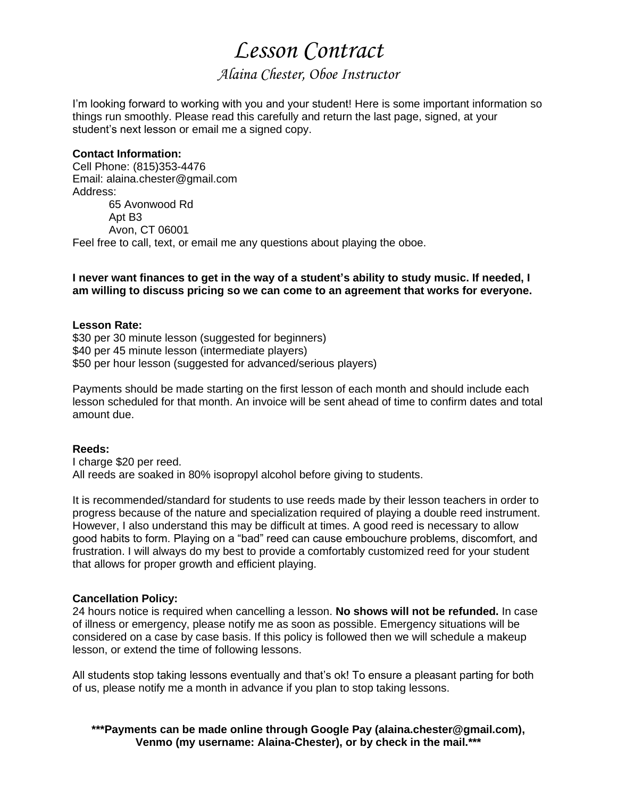# *Lesson Contract*

### *Alaina Chester, Oboe Instructor*

I'm looking forward to working with you and your student! Here is some important information so things run smoothly. Please read this carefully and return the last page, signed, at your student's next lesson or email me a signed copy.

#### **Contact Information:**

Cell Phone: (815)353-4476 Email: alaina.chester@gmail.com Address: 65 Avonwood Rd Apt B3 Avon, CT 06001 Feel free to call, text, or email me any questions about playing the oboe.

#### **I never want finances to get in the way of a student's ability to study music. If needed, I am willing to discuss pricing so we can come to an agreement that works for everyone.**

#### **Lesson Rate:**

\$30 per 30 minute lesson (suggested for beginners) \$40 per 45 minute lesson (intermediate players) \$50 per hour lesson (suggested for advanced/serious players)

Payments should be made starting on the first lesson of each month and should include each lesson scheduled for that month. An invoice will be sent ahead of time to confirm dates and total amount due.

#### **Reeds:**

I charge \$20 per reed. All reeds are soaked in 80% isopropyl alcohol before giving to students.

It is recommended/standard for students to use reeds made by their lesson teachers in order to progress because of the nature and specialization required of playing a double reed instrument. However, I also understand this may be difficult at times. A good reed is necessary to allow good habits to form. Playing on a "bad" reed can cause embouchure problems, discomfort, and frustration. I will always do my best to provide a comfortably customized reed for your student that allows for proper growth and efficient playing.

#### **Cancellation Policy:**

24 hours notice is required when cancelling a lesson. **No shows will not be refunded.** In case of illness or emergency, please notify me as soon as possible. Emergency situations will be considered on a case by case basis. If this policy is followed then we will schedule a makeup lesson, or extend the time of following lessons.

All students stop taking lessons eventually and that's ok! To ensure a pleasant parting for both of us, please notify me a month in advance if you plan to stop taking lessons.

**\*\*\*Payments can be made online through Google Pay (alaina.chester@gmail.com), Venmo (my username: Alaina-Chester), or by check in the mail.\*\*\***